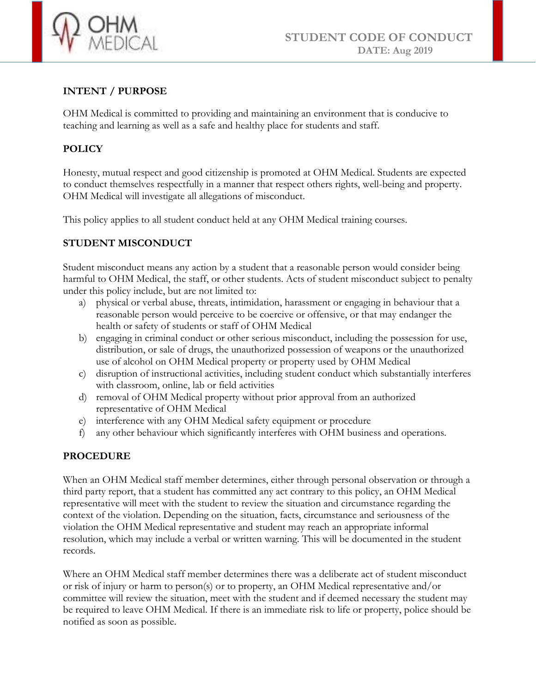

# **INTENT / PURPOSE**

OHM Medical is committed to providing and maintaining an environment that is conducive to teaching and learning as well as a safe and healthy place for students and staff.

## **POLICY**

Honesty, mutual respect and good citizenship is promoted at OHM Medical. Students are expected to conduct themselves respectfully in a manner that respect others rights, well-being and property. OHM Medical will investigate all allegations of misconduct.

This policy applies to all student conduct held at any OHM Medical training courses.

## **STUDENT MISCONDUCT**

Student misconduct means any action by a student that a reasonable person would consider being harmful to OHM Medical, the staff, or other students. Acts of student misconduct subject to penalty under this policy include, but are not limited to:

- a) physical or verbal abuse, threats, intimidation, harassment or engaging in behaviour that a reasonable person would perceive to be coercive or offensive, or that may endanger the health or safety of students or staff of OHM Medical
- b) engaging in criminal conduct or other serious misconduct, including the possession for use, distribution, or sale of drugs, the unauthorized possession of weapons or the unauthorized use of alcohol on OHM Medical property or property used by OHM Medical
- c) disruption of instructional activities, including student conduct which substantially interferes with classroom, online, lab or field activities
- d) removal of OHM Medical property without prior approval from an authorized representative of OHM Medical
- e) interference with any OHM Medical safety equipment or procedure
- f) any other behaviour which significantly interferes with OHM business and operations.

### **PROCEDURE**

When an OHM Medical staff member determines, either through personal observation or through a third party report, that a student has committed any act contrary to this policy, an OHM Medical representative will meet with the student to review the situation and circumstance regarding the context of the violation. Depending on the situation, facts, circumstance and seriousness of the violation the OHM Medical representative and student may reach an appropriate informal resolution, which may include a verbal or written warning. This will be documented in the student records.

Where an OHM Medical staff member determines there was a deliberate act of student misconduct or risk of injury or harm to person(s) or to property, an OHM Medical representative and/or committee will review the situation, meet with the student and if deemed necessary the student may be required to leave OHM Medical. If there is an immediate risk to life or property, police should be notified as soon as possible.